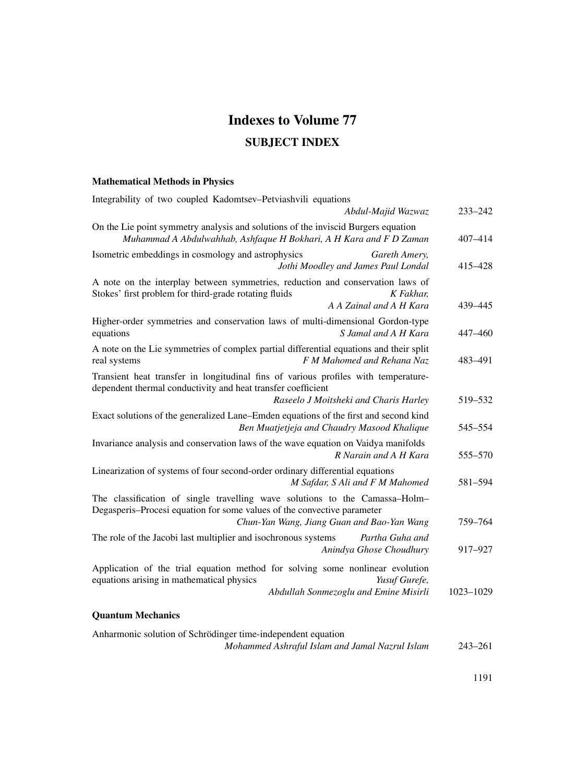# **Indexes to Volume 77**

## **SUBJECT INDEX**

#### **Mathematical Methods in Physics**

| Integrability of two coupled Kadomtsev-Petviashvili equations                                                                                                                                        |           |
|------------------------------------------------------------------------------------------------------------------------------------------------------------------------------------------------------|-----------|
| Abdul-Majid Wazwaz                                                                                                                                                                                   | 233-242   |
| On the Lie point symmetry analysis and solutions of the inviscid Burgers equation<br>Muhammad A Abdulwahhab, Ashfaque H Bokhari, A H Kara and F D Zaman                                              | 407-414   |
| Isometric embeddings in cosmology and astrophysics<br>Gareth Amery,<br>Jothi Moodley and James Paul Londal                                                                                           | 415-428   |
| A note on the interplay between symmetries, reduction and conservation laws of<br>Stokes' first problem for third-grade rotating fluids<br>K Fakhar.<br>A A Zainal and A H Kara                      | 439-445   |
| Higher-order symmetries and conservation laws of multi-dimensional Gordon-type<br>equations<br>S Jamal and A H Kara                                                                                  | 447-460   |
| A note on the Lie symmetries of complex partial differential equations and their split<br>F M Mahomed and Rehana Naz<br>real systems                                                                 | 483-491   |
| Transient heat transfer in longitudinal fins of various profiles with temperature-<br>dependent thermal conductivity and heat transfer coefficient<br>Raseelo J Moitsheki and Charis Harley          | 519-532   |
| Exact solutions of the generalized Lane–Emden equations of the first and second kind<br>Ben Muatjetjeja and Chaudry Masood Khalique                                                                  | 545-554   |
| Invariance analysis and conservation laws of the wave equation on Vaidya manifolds<br>R Narain and A H Kara                                                                                          | 555-570   |
| Linearization of systems of four second-order ordinary differential equations<br>M Safdar, S Ali and F M Mahomed                                                                                     | 581-594   |
| The classification of single travelling wave solutions to the Camassa-Holm-<br>Degasperis-Procesi equation for some values of the convective parameter<br>Chun-Yan Wang, Jiang Guan and Bao-Yan Wang | 759-764   |
| The role of the Jacobi last multiplier and isochronous systems<br>Partha Guha and<br>Anindya Ghose Choudhury                                                                                         | 917-927   |
| Application of the trial equation method for solving some nonlinear evolution<br>equations arising in mathematical physics<br>Yusuf Gurefe,<br>Abdullah Sonmezoglu and Emine Misirli                 | 1023-1029 |
| <b>Quantum Mechanics</b>                                                                                                                                                                             |           |
| Anharmonic solution of Schrödinger time-independent equation                                                                                                                                         |           |

*Mohammed Ashraful Islam and Jamal Nazrul Islam* 243–261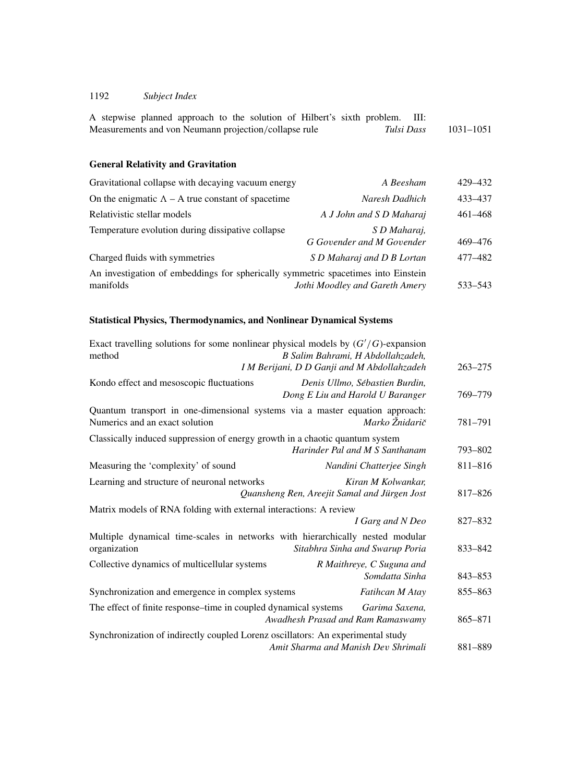|  |                                                       |  |  |  | A stepwise planned approach to the solution of Hilbert's sixth problem. III: |            |               |
|--|-------------------------------------------------------|--|--|--|------------------------------------------------------------------------------|------------|---------------|
|  | Measurements and von Neumann projection/collapse rule |  |  |  |                                                                              | Tulsi Dass | $1031 - 1051$ |

## **General Relativity and Gravitation**

| Gravitational collapse with decaying vacuum energy                                             | A Beesham                                 | 429-432     |
|------------------------------------------------------------------------------------------------|-------------------------------------------|-------------|
| On the enigmatic $\Lambda$ – A true constant of spacetime                                      | Naresh Dadhich                            | 433 - 437   |
| Relativistic stellar models                                                                    | A J John and S D Maharaj                  | $461 - 468$ |
| Temperature evolution during dissipative collapse                                              | S D Maharaj,<br>G Govender and M Govender | 469-476     |
| Charged fluids with symmetries                                                                 | S D Maharaj and D B Lortan                | 477-482     |
| An investigation of embeddings for spherically symmetric spacetimes into Einstein<br>manifolds | Jothi Moodley and Gareth Amery            | 533–543     |

## **Statistical Physics, Thermodynamics, and Nonlinear Dynamical Systems**

| Exact travelling solutions for some nonlinear physical models by $(G'/G)$ -expansion<br>method                 | B Salim Bahrami, H Abdollahzadeh,                                             |
|----------------------------------------------------------------------------------------------------------------|-------------------------------------------------------------------------------|
|                                                                                                                | I M Berijani, D D Ganji and M Abdollahzadeh<br>$263 - 275$                    |
| Kondo effect and mesoscopic fluctuations                                                                       | Denis Ullmo, Sébastien Burdin,<br>Dong E Liu and Harold U Baranger<br>769-779 |
| Quantum transport in one-dimensional systems via a master equation approach:<br>Numerics and an exact solution | Marko Žnidarič<br>781-791                                                     |
| Classically induced suppression of energy growth in a chaotic quantum system                                   | Harinder Pal and M S Santhanam<br>793-802                                     |
| Measuring the 'complexity' of sound                                                                            | 811-816<br>Nandini Chatterjee Singh                                           |
| Learning and structure of neuronal networks                                                                    | Kiran M Kolwankar.<br>Quansheng Ren, Areejit Samal and Jürgen Jost<br>817-826 |
| Matrix models of RNA folding with external interactions: A review                                              |                                                                               |
|                                                                                                                | I Garg and N Deo<br>827-832                                                   |
| Multiple dynamical time-scales in networks with hierarchically nested modular<br>organization                  | Sitabhra Sinha and Swarup Poria<br>833-842                                    |
| Collective dynamics of multicellular systems                                                                   | R Maithreye, C Suguna and<br>Somdatta Sinha<br>$843 - 853$                    |
| Synchronization and emergence in complex systems                                                               | 855-863<br>Fatihcan M Atay                                                    |
| The effect of finite response–time in coupled dynamical systems                                                | Garima Saxena,<br>Awadhesh Prasad and Ram Ramaswamy<br>865-871                |
| Synchronization of indirectly coupled Lorenz oscillators: An experimental study                                | Amit Sharma and Manish Dev Shrimali<br>881-889                                |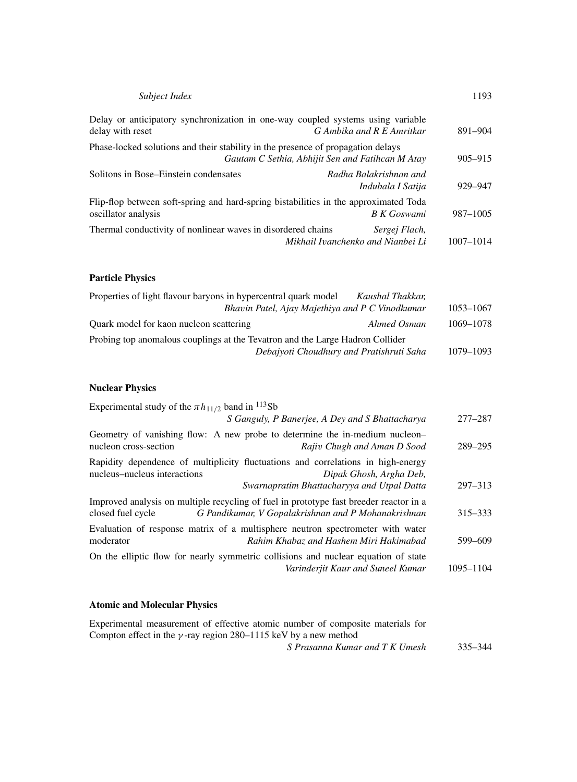| Subject Index                                                                                               |                                                    | 1193        |
|-------------------------------------------------------------------------------------------------------------|----------------------------------------------------|-------------|
| Delay or anticipatory synchronization in one-way coupled systems using variable<br>delay with reset         | G Ambika and R E Amritkar                          | 891-904     |
| Phase-locked solutions and their stability in the presence of propagation delays                            | Gautam C Sethia, Abhijit Sen and Fatihcan M Atay   | $905 - 915$ |
| Solitons in Bose–Einstein condensates                                                                       | Radha Balakrishnan and<br>Indubala I Satija        | 929-947     |
| Flip-flop between soft-spring and hard-spring bistabilities in the approximated Toda<br>oscillator analysis | <b>B</b> <i>K</i> Goswami                          | 987-1005    |
| Thermal conductivity of nonlinear waves in disordered chains                                                | Sergej Flach,<br>Mikhail Ivanchenko and Nianbei Li | 1007-1014   |

#### **Particle Physics**

| Properties of light flavour baryons in hypercentral quark model               | Kaushal Thakkar, |           |
|-------------------------------------------------------------------------------|------------------|-----------|
| Bhavin Patel, Ajay Majethiya and P C Vinodkumar                               |                  | 1053–1067 |
| Quark model for kaon nucleon scattering                                       | Ahmed Osman      | 1069-1078 |
| Probing top anomalous couplings at the Tevatron and the Large Hadron Collider |                  |           |
| Debajyoti Choudhury and Pratishruti Saha                                      |                  | 1079-1093 |

## **Nuclear Physics**

| $277 - 287$                                                                                                                                                                                                                                                                                            |
|--------------------------------------------------------------------------------------------------------------------------------------------------------------------------------------------------------------------------------------------------------------------------------------------------------|
| 289-295                                                                                                                                                                                                                                                                                                |
| $297 - 313$                                                                                                                                                                                                                                                                                            |
| $315 - 333$                                                                                                                                                                                                                                                                                            |
| 599-609                                                                                                                                                                                                                                                                                                |
| 1095-1104                                                                                                                                                                                                                                                                                              |
| S Ganguly, P Banerjee, A Dey and S Bhattacharya<br>Geometry of vanishing flow: A new probe to determine the in-medium nucleon-<br>Evaluation of response matrix of a multisphere neutron spectrometer with water<br>On the elliptic flow for nearly symmetric collisions and nuclear equation of state |

## **Atomic and Molecular Physics**

| Experimental measurement of effective atomic number of composite materials for |         |
|--------------------------------------------------------------------------------|---------|
| Compton effect in the $\gamma$ -ray region 280–1115 keV by a new method        |         |
| S Prasanna Kumar and T K Umesh                                                 | 335–344 |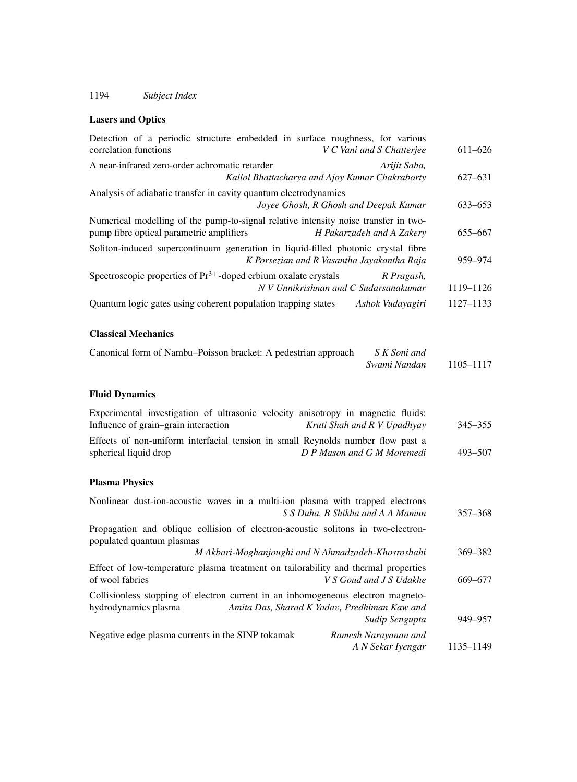#### **Lasers and Optics**

| Detection of a periodic structure embedded in surface roughness, for various<br>correlation functions<br>V C Vani and S Chatterjee                                         | $611 - 626$ |
|----------------------------------------------------------------------------------------------------------------------------------------------------------------------------|-------------|
| A near-infrared zero-order achromatic retarder<br>Arijit Saha,<br>Kallol Bhattacharya and Ajoy Kumar Chakraborty                                                           | 627-631     |
| Analysis of adiabatic transfer in cavity quantum electrodynamics<br>Joyee Ghosh, R Ghosh and Deepak Kumar                                                                  | 633-653     |
| Numerical modelling of the pump-to-signal relative intensity noise transfer in two-<br>pump fibre optical parametric amplifiers<br>H Pakarzadeh and A Zakery               | 655-667     |
| Soliton-induced supercontinuum generation in liquid-filled photonic crystal fibre<br>K Porsezian and R Vasantha Jayakantha Raja                                            | 959-974     |
| Spectroscopic properties of $Pr^{3+}$ -doped erbium oxalate crystals<br>R Pragash,<br>N V Unnikrishnan and C Sudarsanakumar                                                | 1119-1126   |
| Quantum logic gates using coherent population trapping states<br>Ashok Vudayagiri                                                                                          | 1127-1133   |
| <b>Classical Mechanics</b>                                                                                                                                                 |             |
| Canonical form of Nambu-Poisson bracket: A pedestrian approach<br>S K Soni and<br>Swami Nandan                                                                             | 1105-1117   |
| <b>Fluid Dynamics</b>                                                                                                                                                      |             |
| Experimental investigation of ultrasonic velocity anisotropy in magnetic fluids:<br>Influence of grain-grain interaction<br>Kruti Shah and R V Upadhyay                    | 345-355     |
| Effects of non-uniform interfacial tension in small Reynolds number flow past a<br>D P Mason and G M Moremedi<br>spherical liquid drop                                     | 493-507     |
| <b>Plasma Physics</b>                                                                                                                                                      |             |
| Nonlinear dust-ion-acoustic waves in a multi-ion plasma with trapped electrons<br>S S Duha, B Shikha and A A Mamun                                                         | $357 - 368$ |
| Propagation and oblique collision of electron-acoustic solitons in two-electron-<br>populated quantum plasmas                                                              |             |
| M Akbari-Moghanjoughi and N Ahmadzadeh-Khosroshahi                                                                                                                         | 369-382     |
| Effect of low-temperature plasma treatment on tailorability and thermal properties<br>of wool fabrics<br>V S Goud and J S Udakhe                                           | 669-677     |
| Collisionless stopping of electron current in an inhomogeneous electron magneto-<br>Amita Das, Sharad K Yadav, Predhiman Kaw and<br>hydrodynamics plasma<br>Sudip Sengupta | 949-957     |
| Negative edge plasma currents in the SINP tokamak<br>Ramesh Narayanan and<br>A N Sekar Iyengar                                                                             | 1135–1149   |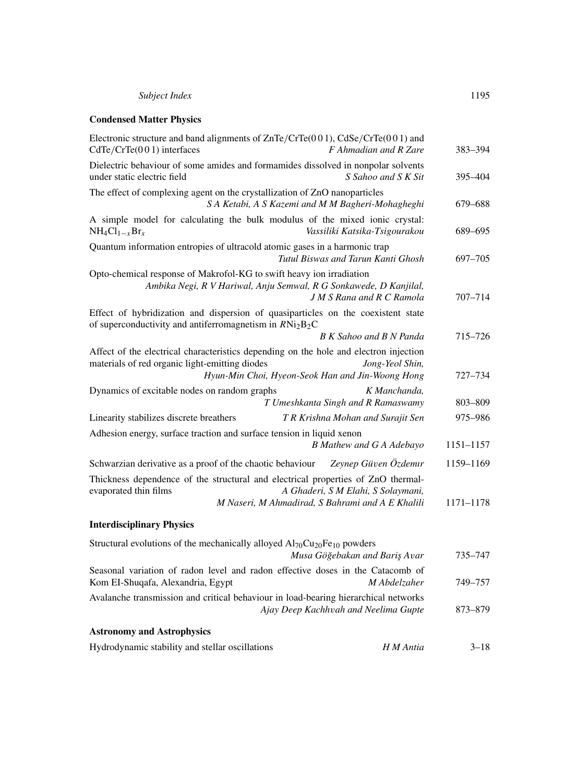#### **Condensed Matter Physics**

| Electronic structure and band alignments of $ZnTe/CrTe(001)$ , $CdSe/CrTe(001)$ and<br>$CdTe/CrTe(001)$ interfaces<br>F Ahmadian and R Zare                                                                    | 383-394     |
|----------------------------------------------------------------------------------------------------------------------------------------------------------------------------------------------------------------|-------------|
| Dielectric behaviour of some amides and formamides dissolved in nonpolar solvents<br>under static electric field<br>S Sahoo and S K Sit                                                                        | 395–404     |
| The effect of complexing agent on the crystallization of ZnO nanoparticles<br>S A Ketabi, A S Kazemi and M M Bagheri-Mohagheghi                                                                                | 679-688     |
| A simple model for calculating the bulk modulus of the mixed ionic crystal:<br>$NH_4Cl_{1-x}Br_x$<br>Vassiliki Katsika-Tsigourakou                                                                             | 689-695     |
| Quantum information entropies of ultracold atomic gases in a harmonic trap<br>Tutul Biswas and Tarun Kanti Ghosh                                                                                               | 697-705     |
| Opto-chemical response of Makrofol-KG to swift heavy ion irradiation<br>Ambika Negi, R V Hariwal, Anju Semwal, R G Sonkawede, D Kanjilal,<br><b>J M S Rana and R C Ramola</b>                                  | $707 - 714$ |
| Effect of hybridization and dispersion of quasiparticles on the coexistent state<br>of superconductivity and antiferromagnetism in $RNi2B2C$                                                                   |             |
| <b>B</b> K Sahoo and <b>B</b> N Panda                                                                                                                                                                          | 715-726     |
| Affect of the electrical characteristics depending on the hole and electron injection<br>materials of red organic light-emitting diodes<br>Jong-Yeol Shin,<br>Hyun-Min Choi, Hyeon-Seok Han and Jin-Woong Hong | 727-734     |
| Dynamics of excitable nodes on random graphs<br>K Manchanda,<br>T Umeshkanta Singh and R Ramaswamy                                                                                                             | 803-809     |
| Linearity stabilizes discrete breathers<br>T R Krishna Mohan and Surajit Sen                                                                                                                                   | 975-986     |
| Adhesion energy, surface traction and surface tension in liquid xenon<br><b>B</b> Mathew and G A Adebayo                                                                                                       | 1151-1157   |
| Schwarzian derivative as a proof of the chaotic behaviour<br>Zeynep Güven Özdemir                                                                                                                              | 1159-1169   |
| Thickness dependence of the structural and electrical properties of ZnO thermal-<br>evaporated thin films<br>A Ghaderi, S M Elahi, S Solaymani,<br>M Naseri, M Ahmadirad, S Bahrami and A E Khalili            | 1171-1178   |
| <b>Interdisciplinary Physics</b>                                                                                                                                                                               |             |
| Structural evolutions of the mechanically alloyed $Al_{70}Cu_{20}Fe_{10}$ powders<br>Musa Göğebakan and Bariş Avar                                                                                             | 735-747     |
| Seasonal variation of radon level and radon effective doses in the Catacomb of<br>Kom EI-Shuqafa, Alexandria, Egypt<br>M Abdelzaher                                                                            | 749-757     |
| Avalanche transmission and critical behaviour in load-bearing hierarchical networks<br>Ajay Deep Kachhvah and Neelima Gupte                                                                                    | 873-879     |
| <b>Astronomy and Astrophysics</b>                                                                                                                                                                              |             |
| Hydrodynamic stability and stellar oscillations<br>H M Antia                                                                                                                                                   | $3 - 18$    |